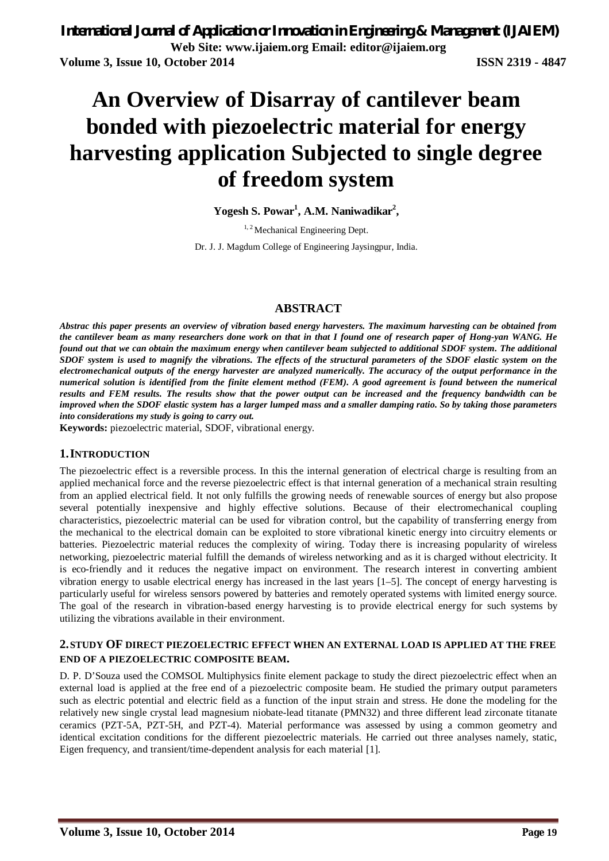# **An Overview of Disarray of cantilever beam bonded with piezoelectric material for energy harvesting application Subjected to single degree of freedom system**

**Yogesh S. Powar<sup>1</sup> , A.M. Naniwadikar<sup>2</sup> ,**

<sup>1, 2</sup> Mechanical Engineering Dept.

Dr. J. J. Magdum College of Engineering Jaysingpur, India.

## **ABSTRACT**

*Abstrac this paper presents an overview of vibration based energy harvesters. The maximum harvesting can be obtained from the cantilever beam as many researchers done work on that in that I found one of research paper of Hong-yan WANG. He found out that we can obtain the maximum energy when cantilever beam subjected to additional SDOF system. The additional SDOF system is used to magnify the vibrations. The effects of the structural parameters of the SDOF elastic system on the electromechanical outputs of the energy harvester are analyzed numerically. The accuracy of the output performance in the numerical solution is identified from the finite element method (FEM). A good agreement is found between the numerical results and FEM results. The results show that the power output can be increased and the frequency bandwidth can be improved when the SDOF elastic system has a larger lumped mass and a smaller damping ratio. So by taking those parameters into considerations my study is going to carry out.*

**Keywords:** piezoelectric material, SDOF, vibrational energy.

#### **1.INTRODUCTION**

The piezoelectric effect is a reversible process. In this the internal generation of electrical charge is resulting from an applied mechanical force and the reverse piezoelectric effect is that internal generation of a mechanical strain resulting from an applied electrical field. It not only fulfills the growing needs of renewable sources of energy but also propose several potentially inexpensive and highly effective solutions. Because of their electromechanical coupling characteristics, piezoelectric material can be used for vibration control, but the capability of transferring energy from the mechanical to the electrical domain can be exploited to store vibrational kinetic energy into circuitry elements or batteries. Piezoelectric material reduces the complexity of wiring. Today there is increasing popularity of wireless networking, piezoelectric material fulfill the demands of wireless networking and as it is charged without electricity. It is eco-friendly and it reduces the negative impact on environment. The research interest in converting ambient vibration energy to usable electrical energy has increased in the last years [1–5]. The concept of energy harvesting is particularly useful for wireless sensors powered by batteries and remotely operated systems with limited energy source. The goal of the research in vibration-based energy harvesting is to provide electrical energy for such systems by utilizing the vibrations available in their environment.

#### **2.STUDY OF DIRECT PIEZOELECTRIC EFFECT WHEN AN EXTERNAL LOAD IS APPLIED AT THE FREE END OF A PIEZOELECTRIC COMPOSITE BEAM.**

D. P. D'Souza used the COMSOL Multiphysics finite element package to study the direct piezoelectric effect when an external load is applied at the free end of a piezoelectric composite beam. He studied the primary output parameters such as electric potential and electric field as a function of the input strain and stress. He done the modeling for the relatively new single crystal lead magnesium niobate-lead titanate (PMN32) and three different lead zirconate titanate ceramics (PZT-5A, PZT-5H, and PZT-4). Material performance was assessed by using a common geometry and identical excitation conditions for the different piezoelectric materials. He carried out three analyses namely, static, Eigen frequency, and transient/time-dependent analysis for each material [1].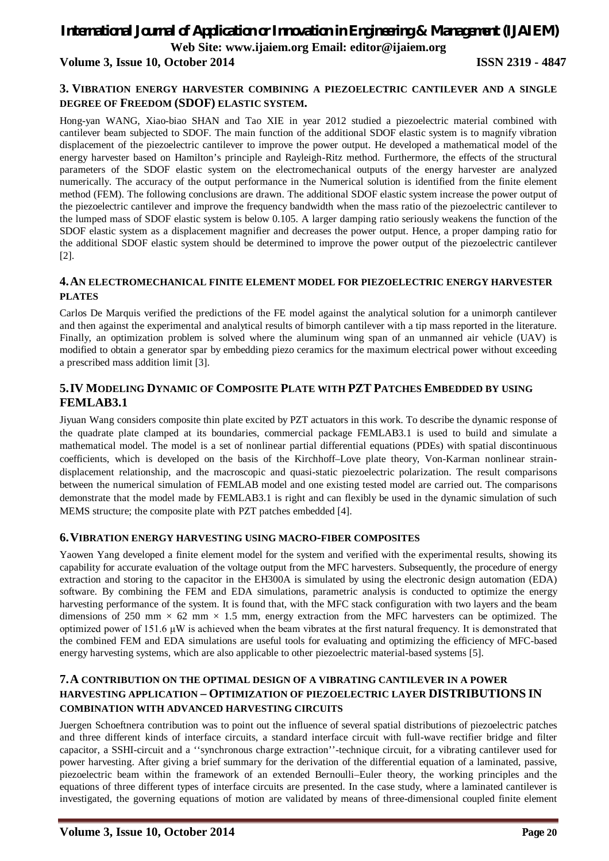# *International Journal of Application or Innovation in Engineering & Management (IJAIEM)* **Web Site: www.ijaiem.org Email: editor@ijaiem.org**

## **Volume 3, Issue 10, October 2014 ISSN 2319 - 4847**

#### **3. VIBRATION ENERGY HARVESTER COMBINING A PIEZOELECTRIC CANTILEVER AND A SINGLE DEGREE OF FREEDOM (SDOF) ELASTIC SYSTEM.**

Hong-yan WANG, Xiao-biao SHAN and Tao XIE in year 2012 studied a piezoelectric material combined with cantilever beam subjected to SDOF. The main function of the additional SDOF elastic system is to magnify vibration displacement of the piezoelectric cantilever to improve the power output. He developed a mathematical model of the energy harvester based on Hamilton's principle and Rayleigh-Ritz method. Furthermore, the effects of the structural parameters of the SDOF elastic system on the electromechanical outputs of the energy harvester are analyzed numerically. The accuracy of the output performance in the Numerical solution is identified from the finite element method (FEM). The following conclusions are drawn. The additional SDOF elastic system increase the power output of the piezoelectric cantilever and improve the frequency bandwidth when the mass ratio of the piezoelectric cantilever to the lumped mass of SDOF elastic system is below 0.105. A larger damping ratio seriously weakens the function of the SDOF elastic system as a displacement magnifier and decreases the power output. Hence, a proper damping ratio for the additional SDOF elastic system should be determined to improve the power output of the piezoelectric cantilever [2].

#### **4.AN ELECTROMECHANICAL FINITE ELEMENT MODEL FOR PIEZOELECTRIC ENERGY HARVESTER PLATES**

Carlos De Marquis verified the predictions of the FE model against the analytical solution for a unimorph cantilever and then against the experimental and analytical results of bimorph cantilever with a tip mass reported in the literature. Finally, an optimization problem is solved where the aluminum wing span of an unmanned air vehicle (UAV) is modified to obtain a generator spar by embedding piezo ceramics for the maximum electrical power without exceeding a prescribed mass addition limit [3].

## **5.IV MODELING DYNAMIC OF COMPOSITE PLATE WITH PZT PATCHES EMBEDDED BY USING FEMLAB3.1**

Jiyuan Wang considers composite thin plate excited by PZT actuators in this work. To describe the dynamic response of the quadrate plate clamped at its boundaries, commercial package FEMLAB3.1 is used to build and simulate a mathematical model. The model is a set of nonlinear partial differential equations (PDEs) with spatial discontinuous coefficients, which is developed on the basis of the Kirchhoff–Love plate theory, Von-Karman nonlinear straindisplacement relationship, and the macroscopic and quasi-static piezoelectric polarization. The result comparisons between the numerical simulation of FEMLAB model and one existing tested model are carried out. The comparisons demonstrate that the model made by FEMLAB3.1 is right and can flexibly be used in the dynamic simulation of such MEMS structure; the composite plate with PZT patches embedded [4].

#### **6.VIBRATION ENERGY HARVESTING USING MACRO-FIBER COMPOSITES**

Yaowen Yang developed a finite element model for the system and verified with the experimental results, showing its capability for accurate evaluation of the voltage output from the MFC harvesters. Subsequently, the procedure of energy extraction and storing to the capacitor in the EH300A is simulated by using the electronic design automation (EDA) software. By combining the FEM and EDA simulations, parametric analysis is conducted to optimize the energy harvesting performance of the system. It is found that, with the MFC stack configuration with two layers and the beam dimensions of 250 mm  $\times$  62 mm  $\times$  1.5 mm, energy extraction from the MFC harvesters can be optimized. The optimized power of 151.6 μW is achieved when the beam vibrates at the first natural frequency. It is demonstrated that the combined FEM and EDA simulations are useful tools for evaluating and optimizing the efficiency of MFC-based energy harvesting systems, which are also applicable to other piezoelectric material-based systems [5].

## **7.A CONTRIBUTION ON THE OPTIMAL DESIGN OF A VIBRATING CANTILEVER IN A POWER HARVESTING APPLICATION – OPTIMIZATION OF PIEZOELECTRIC LAYER DISTRIBUTIONS IN COMBINATION WITH ADVANCED HARVESTING CIRCUITS**

Juergen Schoeftnera contribution was to point out the influence of several spatial distributions of piezoelectric patches and three different kinds of interface circuits, a standard interface circuit with full-wave rectifier bridge and filter capacitor, a SSHI-circuit and a ''synchronous charge extraction''-technique circuit, for a vibrating cantilever used for power harvesting. After giving a brief summary for the derivation of the differential equation of a laminated, passive, piezoelectric beam within the framework of an extended Bernoulli–Euler theory, the working principles and the equations of three different types of interface circuits are presented. In the case study, where a laminated cantilever is investigated, the governing equations of motion are validated by means of three-dimensional coupled finite element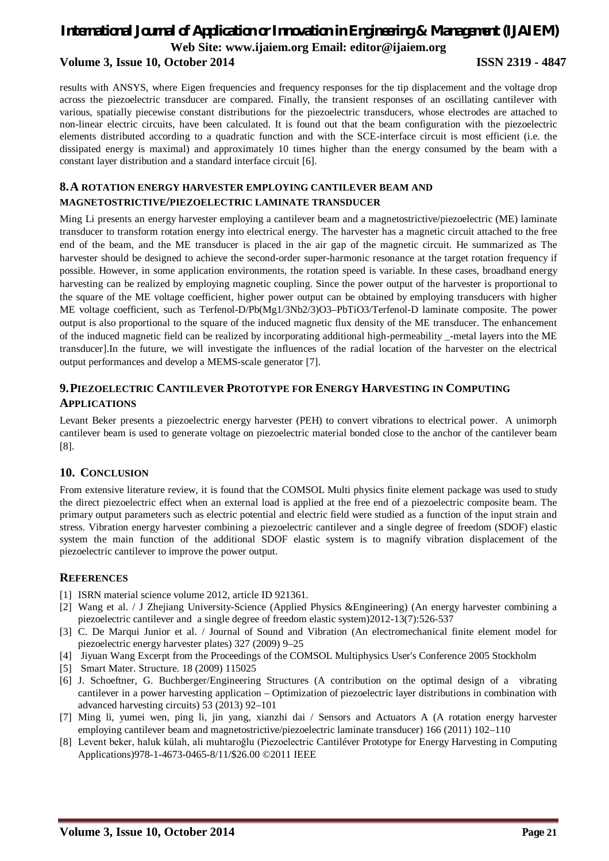# *International Journal of Application or Innovation in Engineering & Management (IJAIEM)* **Web Site: www.ijaiem.org Email: editor@ijaiem.org Volume 3, Issue 10, October 2014 ISSN 2319 - 4847**

results with ANSYS, where Eigen frequencies and frequency responses for the tip displacement and the voltage drop across the piezoelectric transducer are compared. Finally, the transient responses of an oscillating cantilever with various, spatially piecewise constant distributions for the piezoelectric transducers, whose electrodes are attached to non-linear electric circuits, have been calculated. It is found out that the beam configuration with the piezoelectric elements distributed according to a quadratic function and with the SCE-interface circuit is most efficient (i.e. the dissipated energy is maximal) and approximately 10 times higher than the energy consumed by the beam with a constant layer distribution and a standard interface circuit [6].

#### **8.A ROTATION ENERGY HARVESTER EMPLOYING CANTILEVER BEAM AND MAGNETOSTRICTIVE/PIEZOELECTRIC LAMINATE TRANSDUCER**

Ming Li presents an energy harvester employing a cantilever beam and a magnetostrictive/piezoelectric (ME) laminate transducer to transform rotation energy into electrical energy. The harvester has a magnetic circuit attached to the free end of the beam, and the ME transducer is placed in the air gap of the magnetic circuit. He summarized as The harvester should be designed to achieve the second-order super-harmonic resonance at the target rotation frequency if possible. However, in some application environments, the rotation speed is variable. In these cases, broadband energy harvesting can be realized by employing magnetic coupling. Since the power output of the harvester is proportional to the square of the ME voltage coefficient, higher power output can be obtained by employing transducers with higher ME voltage coefficient, such as Terfenol-D/Pb(Mg1/3Nb2/3)O3–PbTiO3/Terfenol-D laminate composite. The power output is also proportional to the square of the induced magnetic flux density of the ME transducer. The enhancement of the induced magnetic field can be realized by incorporating additional high-permeability \_-metal layers into the ME transducer].In the future, we will investigate the influences of the radial location of the harvester on the electrical output performances and develop a MEMS-scale generator [7].

## **9.PIEZOELECTRIC CANTILEVER PROTOTYPE FOR ENERGY HARVESTING IN COMPUTING APPLICATIONS**

Levant Beker presents a piezoelectric energy harvester (PEH) to convert vibrations to electrical power. A unimorph cantilever beam is used to generate voltage on piezoelectric material bonded close to the anchor of the cantilever beam [8].

## **10. CONCLUSION**

From extensive literature review, it is found that the COMSOL Multi physics finite element package was used to study the direct piezoelectric effect when an external load is applied at the free end of a piezoelectric composite beam. The primary output parameters such as electric potential and electric field were studied as a function of the input strain and stress. Vibration energy harvester combining a piezoelectric cantilever and a single degree of freedom (SDOF) elastic system the main function of the additional SDOF elastic system is to magnify vibration displacement of the piezoelectric cantilever to improve the power output.

#### **REFERENCES**

- [1] ISRN material science volume 2012, article ID 921361.
- [2] Wang et al. / J Zhejiang University-Science (Applied Physics &Engineering) (An energy harvester combining a piezoelectric cantilever and a single degree of freedom elastic system)2012-13(7):526-537
- [3] C. De Marqui Junior et al. / Journal of Sound and Vibration (An electromechanical finite element model for piezoelectric energy harvester plates) 327 (2009) 9–25
- [4] Jiyuan Wang Excerpt from the Proceedings of the COMSOL Multiphysics User's Conference 2005 Stockholm
- [5] Smart Mater. Structure. 18 (2009) 115025
- [6] J. Schoeftner, G. Buchberger/Engineering Structures (A contribution on the optimal design of a vibrating cantilever in a power harvesting application – Optimization of piezoelectric layer distributions in combination with advanced harvesting circuits) 53 (2013) 92–101
- [7] Ming li, yumei wen, ping li, jin yang, xianzhi dai / Sensors and Actuators A (A rotation energy harvester employing cantilever beam and magnetostrictive/piezoelectric laminate transducer) 166 (2011) 102–110
- [8] Levent beker, haluk külah, ali muhtaroğlu (Piezoelectric Cantiléver Prototype for Energy Harvesting in Computing Applications)978-1-4673-0465-8/11/\$26.00 ©2011 IEEE